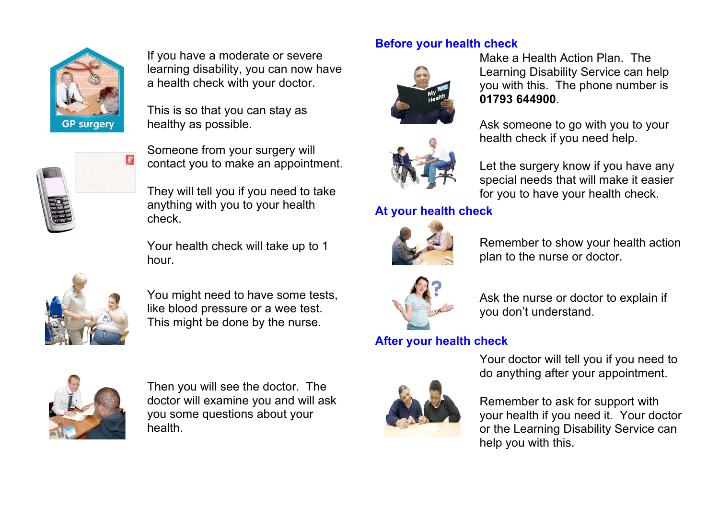

If you have a moderate or severe learning disability, you can now have a health check with your doctor.

This is so that you can stay as healthy as possible.



Someone from your surgery will contact you to make an appointment.

They will tell you if you need to take anything with you to your health check.

Your health check will take up to 1 hour.



You might need to have some tests, like blood pressure or a wee test. This might be done by the nurse.

## **Before your health check**





## **At your health check**



Remember to show your health action plan to the nurse or doctor.

Make a Health Action Plan. The

**01793 644900**.

Learning Disability Service can help you with this. The phone number is

Ask someone to go with you to your

Let the surgery know if you have any special needs that will make it easier for you to have your health check.

health check if you need help.



Ask the nurse or doctor to explain if you don't understand.

## **After your health check**



Then you will see the doctor. The doctor will examine you and will ask you some questions about your health.



Your doctor will tell you if you need to do anything after your appointment.

Remember to ask for support with your health if you need it. Your doctor or the Learning Disability Service can help you with this.